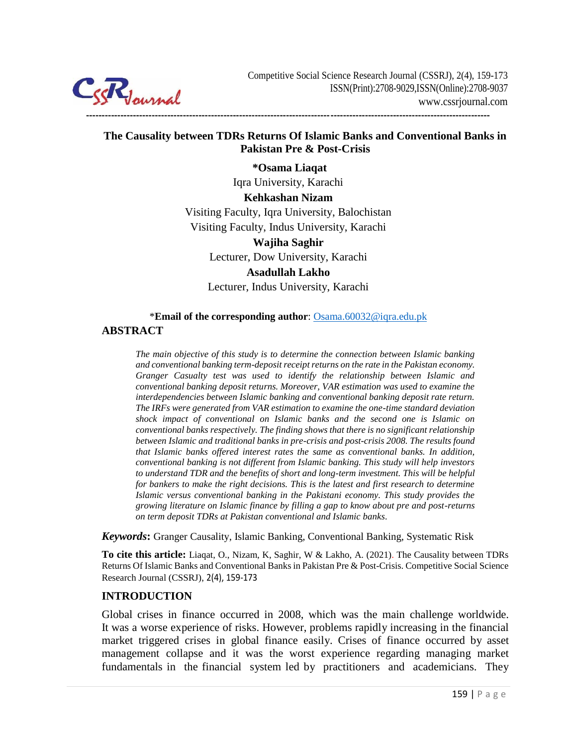

## **The Causality between TDRs Returns Of Islamic Banks and Conventional Banks in Pakistan Pre & Post-Crisis**

**---------------------------------------------------------------------------------------------------------------------------------**

**\*Osama Liaqat** Iqra University, Karachi **Kehkashan Nizam** Visiting Faculty, Iqra University, Balochistan Visiting Faculty, Indus University, Karachi **Wajiha Saghir** Lecturer, Dow University, Karachi **Asadullah Lakho** Lecturer, Indus University, Karachi

#### \***Email of the corresponding author**: Osama.60032@iqra.edu.pk

#### **ABSTRACT**

*The main objective of this study is to determine the connection between Islamic banking and conventional banking term-deposit receipt returns on the rate in the Pakistan economy. Granger Casualty test was used to identify the relationship between Islamic and conventional banking deposit returns. Moreover, VAR estimation was used to examine the interdependencies between Islamic banking and conventional banking deposit rate return. The IRFs were generated from VAR estimation to examine the one-time standard deviation shock impact of conventional on Islamic banks and the second one is Islamic on conventional banks respectively. The finding shows that there is no significant relationship between Islamic and traditional banks in pre-crisis and post-crisis 2008. The results found that Islamic banks offered interest rates the same as conventional banks. In addition, conventional banking is not different from Islamic banking. This study will help investors to understand TDR and the benefits of short and long-term investment. This will be helpful for bankers to make the right decisions. This is the latest and first research to determine Islamic versus conventional banking in the Pakistani economy. This study provides the growing literature on Islamic finance by filling a gap to know about pre and post-returns on term deposit TDRs at Pakistan conventional and Islamic banks.*

*Keywords***:** Granger Causality, Islamic Banking, Conventional Banking, Systematic Risk

**To cite this article:** Liaqat, O., Nizam, K, Saghir, W & Lakho, A. (2021). The Causality between TDRs Returns Of Islamic Banks and Conventional Banks in Pakistan Pre & Post-Crisis. Competitive Social Science Research Journal (CSSRJ), 2(4), 159-173

#### **INTRODUCTION**

Global crises in finance occurred in 2008, which was the main challenge worldwide. It was a worse experience of risks. However, problems rapidly increasing in the financial market triggered crises in global finance easily. Crises of finance occurred by asset management collapse and it was the worst experience regarding managing market fundamentals in the financial system led by practitioners and academicians. They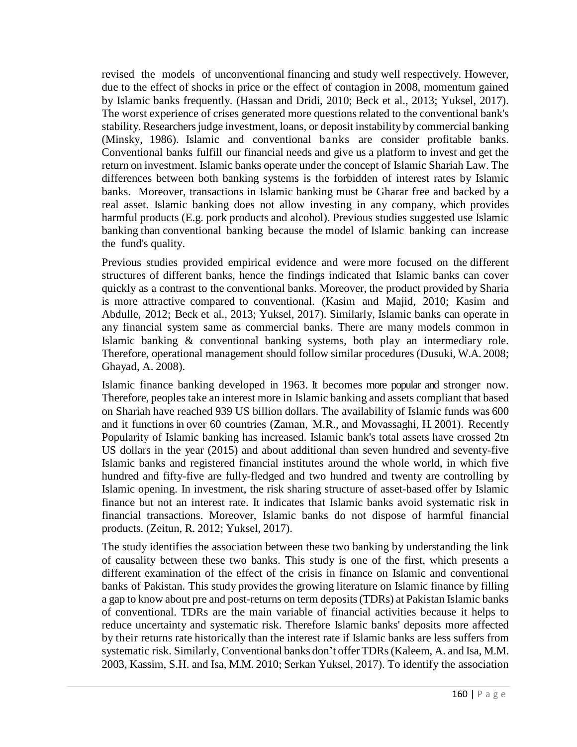revised the models of unconventional financing and study well respectively. However, due to the effect of shocks in price or the effect of contagion in 2008, momentum gained by Islamic banks frequently. (Hassan and Dridi, 2010; Beck et al., 2013; Yuksel, 2017). The worst experience of crises generated more questions related to the conventional bank's stability. Researchers judge investment, loans, or deposit instability by commercial banking (Minsky, 1986). Islamic and conventional banks are consider profitable banks. Conventional banks fulfill our financial needs and give us a platform to invest and get the return on investment. Islamic banks operate under the concept of Islamic Shariah Law. The differences between both banking systems is the forbidden of interest rates by Islamic banks. Moreover, transactions in Islamic banking must be Gharar free and backed by a real asset. Islamic banking does not allow investing in any company, which provides harmful products (E.g. pork products and alcohol). Previous studies suggested use Islamic banking than conventional banking because the model of Islamic banking can increase the fund's quality.

Previous studies provided empirical evidence and were more focused on the different structures of different banks, hence the findings indicated that Islamic banks can cover quickly as a contrast to the conventional banks. Moreover, the product provided by Sharia is more attractive compared to conventional. (Kasim and Majid, 2010; Kasim and Abdulle, 2012; Beck et al., 2013; Yuksel, 2017). Similarly, Islamic banks can operate in any financial system same as commercial banks. There are many models common in Islamic banking & conventional banking systems, both play an intermediary role. Therefore, operational management should follow similar procedures (Dusuki, W.A. 2008; Ghayad, A. 2008).

Islamic finance banking developed in 1963. It becomes more popular and stronger now. Therefore, peoples take an interest more in Islamic banking and assets compliant that based on Shariah have reached 939 US billion dollars. The availability of Islamic funds was 600 and it functions in over 60 countries (Zaman, M.R., and Movassaghi, H. 2001). Recently Popularity of Islamic banking has increased. Islamic bank's total assets have crossed 2tn US dollars in the year (2015) and about additional than seven hundred and seventy-five Islamic banks and registered financial institutes around the whole world, in which five hundred and fifty-five are fully-fledged and two hundred and twenty are controlling by Islamic opening. In investment, the risk sharing structure of asset-based offer by Islamic finance but not an interest rate. It indicates that Islamic banks avoid systematic risk in financial transactions. Moreover, Islamic banks do not dispose of harmful financial products. (Zeitun, R. 2012; Yuksel, 2017).

The study identifies the association between these two banking by understanding the link of causality between these two banks. This study is one of the first, which presents a different examination of the effect of the crisis in finance on Islamic and conventional banks of Pakistan. This study provides the growing literature on Islamic finance by filling a gap to know about pre and post-returns on term deposits (TDRs) at Pakistan Islamic banks of conventional. TDRs are the main variable of financial activities because it helps to reduce uncertainty and systematic risk. Therefore Islamic banks' deposits more affected by their returns rate historically than the interest rate if Islamic banks are less suffers from systematic risk. Similarly, Conventional banks don't offer TDRs(Kaleem, A. and Isa, M.M. 2003, Kassim, S.H. and Isa, M.M. 2010; Serkan Yuksel, 2017). To identify the association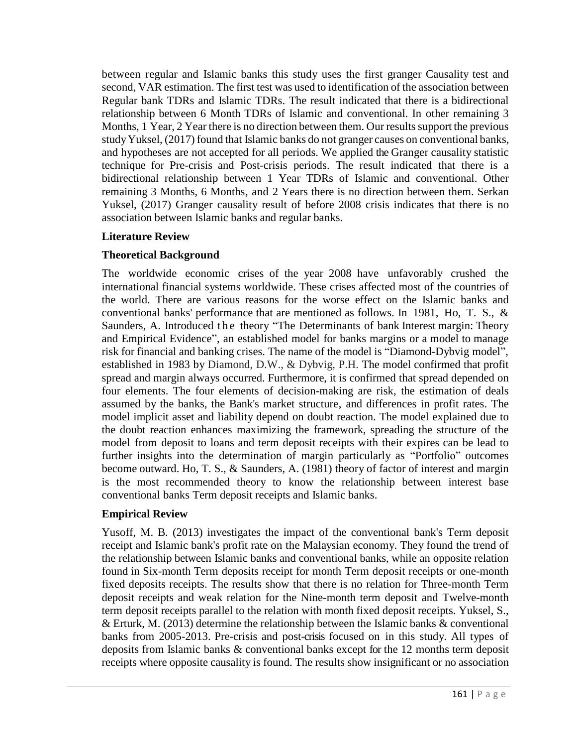between regular and Islamic banks this study uses the first granger Causality test and second, VAR estimation. The first test was used to identification of the association between Regular bank TDRs and Islamic TDRs. The result indicated that there is a bidirectional relationship between 6 Month TDRs of Islamic and conventional. In other remaining 3 Months, 1 Year, 2 Year there is no direction between them. Our results support the previous studyYuksel, (2017) found that Islamic banks do not granger causes on conventional banks, and hypotheses are not accepted for all periods. We applied the Granger causality statistic technique for Pre-crisis and Post-crisis periods. The result indicated that there is a bidirectional relationship between 1 Year TDRs of Islamic and conventional. Other remaining 3 Months, 6 Months, and 2 Years there is no direction between them. Serkan Yuksel, (2017) Granger causality result of before 2008 crisis indicates that there is no association between Islamic banks and regular banks.

## **Literature Review**

## **Theoretical Background**

The worldwide economic crises of the year 2008 have unfavorably crushed the international financial systems worldwide. These crises affected most of the countries of the world. There are various reasons for the worse effect on the Islamic banks and conventional banks' performance that are mentioned as follows. In 1981, Ho, T. S., & Saunders, A. Introduced the theory "The Determinants of bank Interest margin: Theory and Empirical Evidence", an established model for banks margins or a model to manage risk for financial and banking crises. The name of the model is "Diamond-Dybvig model", established in 1983 by Diamond, D.W., & Dybvig, P.H. The model confirmed that profit spread and margin always occurred. Furthermore, it is confirmed that spread depended on four elements. The four elements of decision-making are risk, the estimation of deals assumed by the banks, the Bank's market structure, and differences in profit rates. The model implicit asset and liability depend on doubt reaction. The model explained due to the doubt reaction enhances maximizing the framework, spreading the structure of the model from deposit to loans and term deposit receipts with their expires can be lead to further insights into the determination of margin particularly as "Portfolio" outcomes become outward. Ho, T. S., & Saunders, A. (1981) theory of factor of interest and margin is the most recommended theory to know the relationship between interest base conventional banks Term deposit receipts and Islamic banks.

## **Empirical Review**

Yusoff, M. B. (2013) investigates the impact of the conventional bank's Term deposit receipt and Islamic bank's profit rate on the Malaysian economy. They found the trend of the relationship between Islamic banks and conventional banks, while an opposite relation found in Six-month Term deposits receipt for month Term deposit receipts or one-month fixed deposits receipts. The results show that there is no relation for Three-month Term deposit receipts and weak relation for the Nine-month term deposit and Twelve-month term deposit receipts parallel to the relation with month fixed deposit receipts. Yuksel, S., & Erturk, M. (2013) determine the relationship between the Islamic banks & conventional banks from 2005-2013. Pre-crisis and post-crisis focused on in this study. All types of deposits from Islamic banks & conventional banks except for the 12 months term deposit receipts where opposite causality is found. The results show insignificant or no association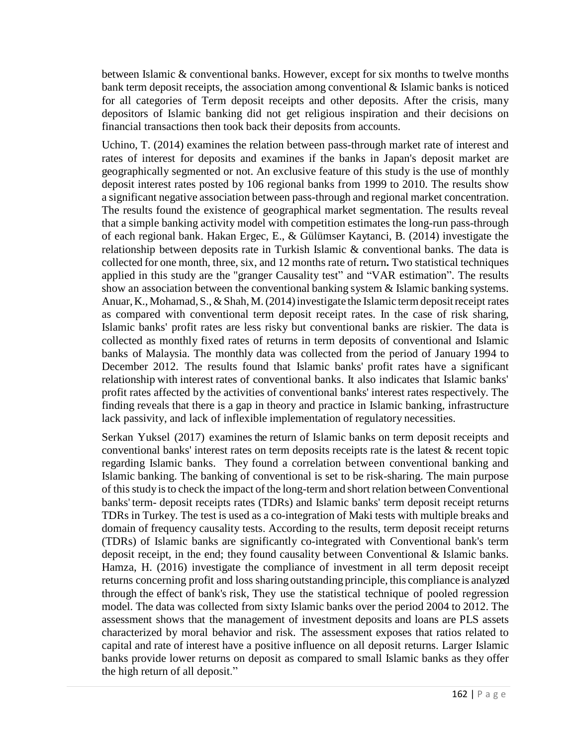between Islamic & conventional banks. However, except for six months to twelve months bank term deposit receipts, the association among conventional  $\&$  Islamic banks is noticed for all categories of Term deposit receipts and other deposits. After the crisis, many depositors of Islamic banking did not get religious inspiration and their decisions on financial transactions then took back their deposits from accounts.

Uchino, T. (2014) examines the relation between pass-through market rate of interest and rates of interest for deposits and examines if the banks in Japan's deposit market are geographically segmented or not. An exclusive feature of this study is the use of monthly deposit interest rates posted by 106 regional banks from 1999 to 2010. The results show a significant negative association between pass-through and regional market concentration. The results found the existence of geographical market segmentation. The results reveal that a simple banking activity model with competition estimates the long-run pass-through of each regional bank. Hakan Ergec, E., & Gülümser Kaytanci, B. (2014) investigate the relationship between deposits rate in Turkish Islamic  $\&$  conventional banks. The data is collected for one month, three, six, and 12 months rate of return**.** Two statistical techniques applied in this study are the "granger Causality test" and "VAR estimation". The results show an association between the conventional banking system & Islamic banking systems. Anuar, K., Mohamad, S., & Shah, M. (2014) investigate the Islamic term deposit receipt rates as compared with conventional term deposit receipt rates. In the case of risk sharing, Islamic banks' profit rates are less risky but conventional banks are riskier. The data is collected as monthly fixed rates of returns in term deposits of conventional and Islamic banks of Malaysia. The monthly data was collected from the period of January 1994 to December 2012. The results found that Islamic banks' profit rates have a significant relationship with interest rates of conventional banks. It also indicates that Islamic banks' profit rates affected by the activities of conventional banks' interest rates respectively. The finding reveals that there is a gap in theory and practice in Islamic banking, infrastructure lack passivity, and lack of inflexible implementation of regulatory necessities.

Serkan Yuksel (2017) examines the return of Islamic banks on term deposit receipts and conventional banks' interest rates on term deposits receipts rate is the latest & recent topic regarding Islamic banks. They found a correlation between conventional banking and Islamic banking. The banking of conventional is set to be risk-sharing. The main purpose of this studyisto check the impact of the long-term and short relation betweenConventional banks' term- deposit receipts rates (TDRs) and Islamic banks' term deposit receipt returns TDRs in Turkey. The test is used as a co-integration of Maki tests with multiple breaks and domain of frequency causality tests. According to the results, term deposit receipt returns (TDRs) of Islamic banks are significantly co-integrated with Conventional bank's term deposit receipt, in the end; they found causality between Conventional & Islamic banks. Hamza, H. (2016) investigate the compliance of investment in all term deposit receipt returns concerning profit and loss sharing outstanding principle, this compliance is analyzed through the effect of bank's risk, They use the statistical technique of pooled regression model. The data was collected from sixty Islamic banks over the period 2004 to 2012. The assessment shows that the management of investment deposits and loans are PLS assets characterized by moral behavior and risk. The assessment exposes that ratios related to capital and rate of interest have a positive influence on all deposit returns. Larger Islamic banks provide lower returns on deposit as compared to small Islamic banks as they offer the high return of all deposit."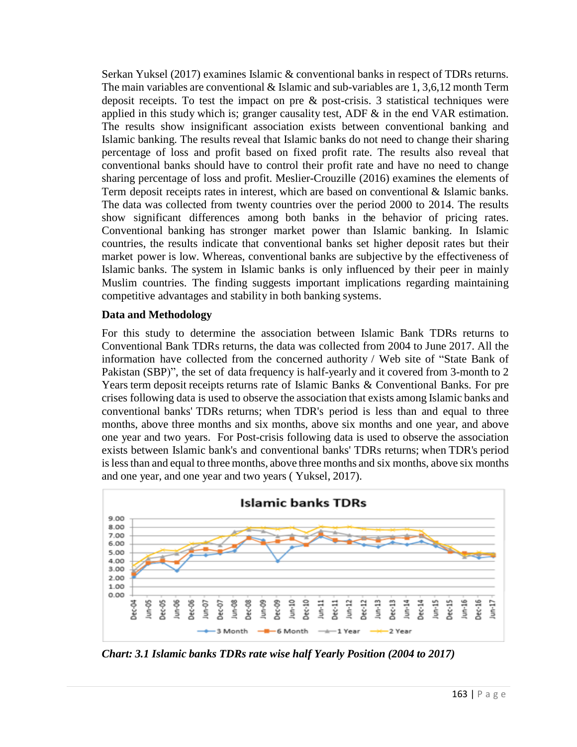Serkan Yuksel (2017) examines Islamic & conventional banks in respect of TDRs returns. The main variables are conventional  $&$  Islamic and sub-variables are 1, 3,6,12 month Term deposit receipts. To test the impact on pre & post-crisis. 3 statistical techniques were applied in this study which is; granger causality test, ADF  $\&$  in the end VAR estimation. The results show insignificant association exists between conventional banking and Islamic banking. The results reveal that Islamic banks do not need to change their sharing percentage of loss and profit based on fixed profit rate. The results also reveal that conventional banks should have to control their profit rate and have no need to change sharing percentage of loss and profit. Meslier-Crouzille (2016) examines the elements of Term deposit receipts rates in interest, which are based on conventional & Islamic banks. The data was collected from twenty countries over the period 2000 to 2014. The results show significant differences among both banks in the behavior of pricing rates. Conventional banking has stronger market power than Islamic banking. In Islamic countries, the results indicate that conventional banks set higher deposit rates but their market power is low. Whereas, conventional banks are subjective by the effectiveness of Islamic banks. The system in Islamic banks is only influenced by their peer in mainly Muslim countries. The finding suggests important implications regarding maintaining competitive advantages and stability in both banking systems.

#### **Data and Methodology**

For this study to determine the association between Islamic Bank TDRs returns to Conventional Bank TDRs returns, the data was collected from 2004 to June 2017. All the information have collected from the concerned authority / Web site of "State Bank of Pakistan (SBP)", the set of data frequency is half-yearly and it covered from 3-month to 2 Years term deposit receipts returns rate of Islamic Banks & Conventional Banks. For pre crises following data is used to observe the association that exists among Islamic banks and conventional banks' TDRs returns; when TDR's period is less than and equal to three months, above three months and six months, above six months and one year, and above one year and two years. For Post-crisis following data is used to observe the association exists between Islamic bank's and conventional banks' TDRs returns; when TDR's period islessthan and equal to three months, above three months and six months, above six months and one year, and one year and two years ( Yuksel, 2017).



*Chart: 3.1 Islamic banks TDRs rate wise half Yearly Position (2004 to 2017)*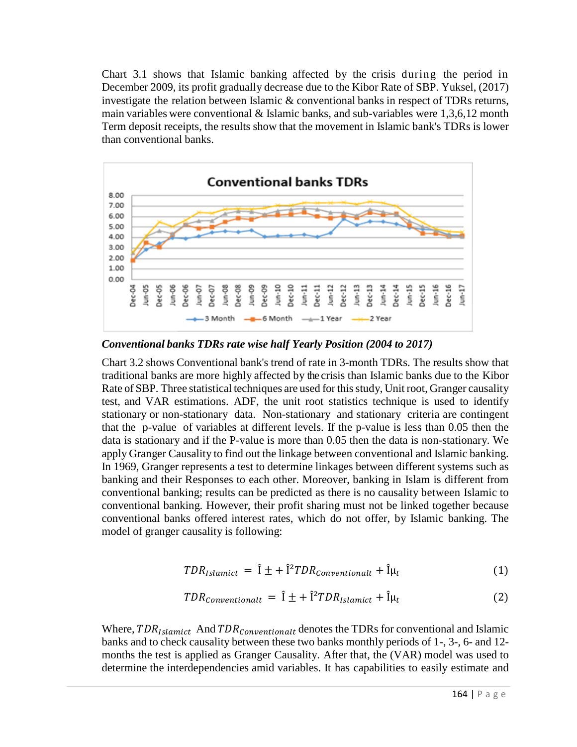Chart 3.1 shows that Islamic banking affected by the crisis during the period in December 2009, its profit gradually decrease due to the Kibor Rate of SBP. Yuksel, (2017) investigate the relation between Islamic & conventional banks in respect of TDRs returns, main variables were conventional  $&$  Islamic banks, and sub-variables were 1,3,6,12 month Term deposit receipts, the results show that the movement in Islamic bank's TDRs is lower than conventional banks.



*Conventional banks TDRs rate wise half Yearly Position (2004 to 2017)*

Chart 3.2 shows Conventional bank's trend of rate in 3-month TDRs. The results show that traditional banks are more highly affected by the crisis than Islamic banks due to the Kibor Rate of SBP. Three statistical techniques are used for this study, Unit root, Granger causality test, and VAR estimations. ADF, the unit root statistics technique is used to identify stationary or non-stationary data. Non-stationary and stationary criteria are contingent that the p-value of variables at different levels. If the p-value is less than 0.05 then the data is stationary and if the P-value is more than 0.05 then the data is non-stationary. We apply Granger Causality to find out the linkage between conventional and Islamic banking. In 1969, Granger represents a test to determine linkages between different systems such as banking and their Responses to each other. Moreover, banking in Islam is different from conventional banking; results can be predicted as there is no causality between Islamic to conventional banking. However, their profit sharing must not be linked together because conventional banks offered interest rates, which do not offer, by Islamic banking. The model of granger causality is following:

$$
TDR_{Islamict} = \hat{I} \pm + \hat{I}^2 TDR_{conventional} + \hat{I} \mu_t
$$
 (1)

$$
TDR_{conventional} = \hat{I} \pm + \hat{I}^2 TDR_{Islamict} + \hat{I}\mu_t
$$
\n(2)

Where,  $TDR_{Islamict}$  And  $TDR_{Conventional}$  denotes the TDRs for conventional and Islamic banks and to check causality between these two banks monthly periods of 1-, 3-, 6- and 12 months the test is applied as Granger Causality. After that, the (VAR) model was used to determine the interdependencies amid variables. It has capabilities to easily estimate and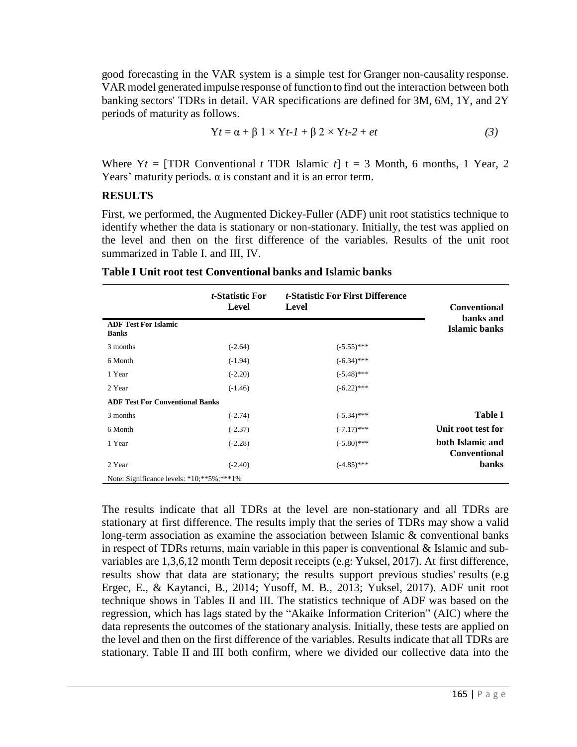good forecasting in the VAR system is a simple test for Granger non-causality response. VAR model generated impulse response of function to find out the interaction between both banking sectors' TDRs in detail. VAR specifications are defined for 3M, 6M, 1Y, and 2Y periods of maturity as follows.

$$
Yt = \alpha + \beta \ 1 \times Yt - 1 + \beta \ 2 \times Yt - 2 + et \tag{3}
$$

Where  $Yt = [TDR Conventional t TDR Islamic t] t = 3 Month, 6 months, 1 Year, 2$ Years' maturity periods.  $\alpha$  is constant and it is an error term.

#### **RESULTS**

First, we performed, the Augmented Dickey-Fuller (ADF) unit root statistics technique to identify whether the data is stationary or non-stationary. Initially, the test was applied on the level and then on the first difference of the variables. Results of the unit root summarized in Table I. and III, IV.

|                                               | <i>t</i> -Statistic For<br>Level | <i>t</i> -Statistic For First Difference<br>Level | <b>Conventional</b><br>banks and        |
|-----------------------------------------------|----------------------------------|---------------------------------------------------|-----------------------------------------|
| <b>ADF Test For Islamic</b><br><b>Banks</b>   |                                  |                                                   | Islamic banks                           |
| 3 months                                      | $(-2.64)$                        | $(-5.55)$ ***                                     |                                         |
| 6 Month                                       | $(-1.94)$                        | $(-6.34)$ ***                                     |                                         |
| 1 Year                                        | $(-2.20)$                        | $(-5.48)$ ***                                     |                                         |
| 2 Year                                        | $(-1.46)$                        | $(-6.22)$ ***                                     |                                         |
| <b>ADF Test For Conventional Banks</b>        |                                  |                                                   |                                         |
| 3 months                                      | $(-2.74)$                        | $(-5.34)$ ***                                     | <b>Table I</b>                          |
| 6 Month                                       | $(-2.37)$                        | $(-7.17)$ ***                                     | Unit root test for                      |
| 1 Year                                        | $(-2.28)$                        | $(-5.80)$ ***                                     | both Islamic and<br><b>Conventional</b> |
| 2 Year                                        | $(-2.40)$                        | $(-4.85)$ ***                                     | <b>banks</b>                            |
| Note: Significance levels: *10; ** 5%; *** 1% |                                  |                                                   |                                         |

|  |  |  |  |  |  |  | Table I Unit root test Conventional banks and Islamic banks |  |  |  |  |
|--|--|--|--|--|--|--|-------------------------------------------------------------|--|--|--|--|
|--|--|--|--|--|--|--|-------------------------------------------------------------|--|--|--|--|

The results indicate that all TDRs at the level are non-stationary and all TDRs are stationary at first difference. The results imply that the series of TDRs may show a valid long-term association as examine the association between Islamic & conventional banks in respect of TDRs returns, main variable in this paper is conventional & Islamic and subvariables are 1,3,6,12 month Term deposit receipts (e.g: Yuksel, 2017). At first difference, results show that data are stationary; the results support previous studies' results (e.g Ergec, E., & Kaytanci, B., 2014; Yusoff, M. B., 2013; Yuksel, 2017). ADF unit root technique shows in Tables II and III. The statistics technique of ADF was based on the regression, which has lags stated by the "Akaike Information Criterion" (AIC) where the data represents the outcomes of the stationary analysis. Initially, these tests are applied on the level and then on the first difference of the variables. Results indicate that all TDRs are stationary. Table II and III both confirm, where we divided our collective data into the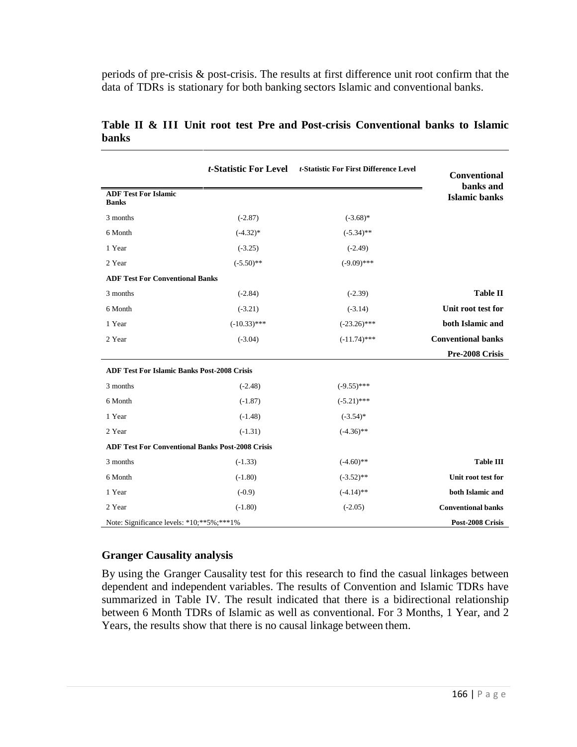periods of pre-crisis & post-crisis. The results at first difference unit root confirm that the data of TDRs is stationary for both banking sectors Islamic and conventional banks.

|                                                         | t-Statistic For Level<br>t-Statistic For First Difference Level |                | Conventional<br>banks and |
|---------------------------------------------------------|-----------------------------------------------------------------|----------------|---------------------------|
| <b>ADF Test For Islamic</b><br><b>Banks</b>             |                                                                 |                | <b>Islamic banks</b>      |
| 3 months                                                | $(-2.87)$                                                       | $(-3.68)$ *    |                           |
| 6 Month                                                 | $(-4.32)$ *                                                     | $(-5.34)$ **   |                           |
| 1 Year                                                  | $(-3.25)$                                                       | $(-2.49)$      |                           |
| 2 Year                                                  | $(-5.50)$ **                                                    | $(-9.09)$ ***  |                           |
| <b>ADF Test For Conventional Banks</b>                  |                                                                 |                |                           |
| 3 months                                                | $(-2.84)$                                                       | $(-2.39)$      | <b>Table II</b>           |
| 6 Month                                                 | $(-3.21)$                                                       | $(-3.14)$      | Unit root test for        |
| 1 Year                                                  | $(-10.33)$ ***                                                  | $(-23.26)$ *** | both Islamic and          |
| 2 Year                                                  | $(-3.04)$                                                       | $(-11.74)$ *** | <b>Conventional banks</b> |
|                                                         |                                                                 |                | Pre-2008 Crisis           |
| <b>ADF Test For Islamic Banks Post-2008 Crisis</b>      |                                                                 |                |                           |
| 3 months                                                | $(-2.48)$                                                       | $(-9.55)$ ***  |                           |
| 6 Month                                                 | $(-1.87)$                                                       | $(-5.21)$ ***  |                           |
| 1 Year                                                  | $(-1.48)$                                                       | $(-3.54)$ *    |                           |
| 2 Year                                                  | $(-1.31)$                                                       | $(-4.36)$ **   |                           |
| <b>ADF Test For Conventional Banks Post-2008 Crisis</b> |                                                                 |                |                           |
| 3 months                                                | $(-1.33)$                                                       | $(-4.60)$ **   | <b>Table III</b>          |
| 6 Month                                                 | $(-1.80)$                                                       | $(-3.52)$ **   | Unit root test for        |
| 1 Year                                                  | $(-0.9)$                                                        | $(-4.14)$ **   | both Islamic and          |
| 2 Year                                                  | $(-1.80)$                                                       | $(-2.05)$      | <b>Conventional banks</b> |
| Note: Significance levels: *10; ** 5%; *** 1%           |                                                                 |                | Post-2008 Crisis          |

**Table II & III Unit root test Pre and Post-crisis Conventional banks to Islamic banks**

## **Granger Causality analysis**

By using the Granger Causality test for this research to find the casual linkages between dependent and independent variables. The results of Convention and Islamic TDRs have summarized in Table IV. The result indicated that there is a bidirectional relationship between 6 Month TDRs of Islamic as well as conventional. For 3 Months, 1 Year, and 2 Years, the results show that there is no causal linkage between them.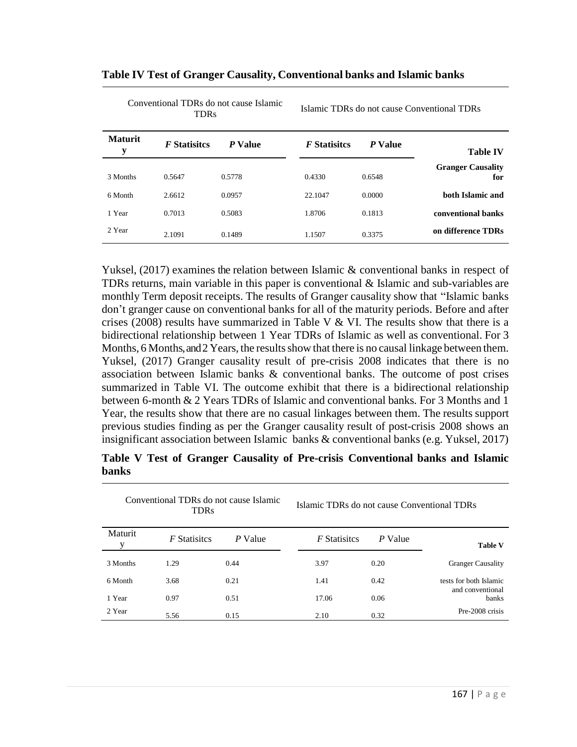| <b>TDRs</b>         |                     |         | TSTATTIC TDINS GO HOT CAUSE CONVERTIONAL TDINS |         |                                 |  |
|---------------------|---------------------|---------|------------------------------------------------|---------|---------------------------------|--|
| <b>Maturit</b><br>y | <i>F</i> Statisites | P Value | <b>F</b> Statisites                            | P Value | <b>Table IV</b>                 |  |
| 3 Months            | 0.5647              | 0.5778  | 0.4330                                         | 0.6548  | <b>Granger Causality</b><br>for |  |
| 6 Month             | 2.6612              | 0.0957  | 22.1047                                        | 0.0000  | both Islamic and                |  |
| 1 Year              | 0.7013              | 0.5083  | 1.8706                                         | 0.1813  | conventional banks              |  |
| 2 Year              | 2.1091              | 0.1489  | 1.1507                                         | 0.3375  | on difference TDRs              |  |

TDRs Islamic TDRs do not cause Conventional TDRs

#### **Table IV Test of Granger Causality, Conventional banks and Islamic banks**

Conventional TDRs do not cause Islamic

Yuksel, (2017) examines the relation between Islamic & conventional banks in respect of TDRs returns, main variable in this paper is conventional & Islamic and sub-variables are monthly Term deposit receipts. The results of Granger causality show that "Islamic banks don't granger cause on conventional banks for all of the maturity periods. Before and after crises (2008) results have summarized in Table V  $&$  VI. The results show that there is a bidirectional relationship between 1 Year TDRs of Islamic as well as conventional. For 3 Months, 6 Months, and 2 Years, the results show that there is no causal linkage between them. Yuksel, (2017) Granger causality result of pre-crisis 2008 indicates that there is no association between Islamic banks & conventional banks. The outcome of post crises summarized in Table VI. The outcome exhibit that there is a bidirectional relationship between 6-month & 2 Years TDRs of Islamic and conventional banks. For 3 Months and 1 Year, the results show that there are no casual linkages between them. The results support previous studies finding as per the Granger causality result of post-crisis 2008 shows an insignificant association between Islamic banks & conventional banks (e.g. Yuksel, 2017)

#### **Table V Test of Granger Causality of Pre-crisis Conventional banks and Islamic banks**

| Conventional TDRs do not cause Islamic<br><b>TDRs</b> |                     |         | Islamic TDRs do not cause Conventional TDRs |         |                                            |  |
|-------------------------------------------------------|---------------------|---------|---------------------------------------------|---------|--------------------------------------------|--|
| Maturit                                               | <i>F</i> Statisites | P Value | <i>F</i> Statisites                         | P Value | <b>Table V</b>                             |  |
| 3 Months                                              | 1.29                | 0.44    | 3.97                                        | 0.20    | <b>Granger Causality</b>                   |  |
| 6 Month                                               | 3.68                | 0.21    | 1.41                                        | 0.42    | tests for both Islamic<br>and conventional |  |
| 1 Year                                                | 0.97                | 0.51    | 17.06                                       | 0.06    | <b>banks</b>                               |  |
| 2 Year                                                | 5.56                | 0.15    | 2.10                                        | 0.32    | Pre-2008 crisis                            |  |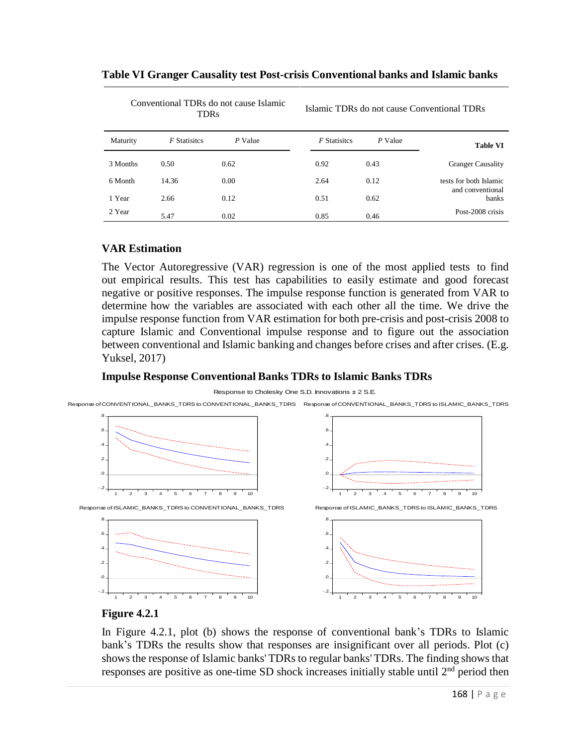| Conventional TDRs do not cause Islamic<br><b>TDRs</b> |                     |         | Islamic TDRs do not cause Conventional TDRs |         |                           |  |
|-------------------------------------------------------|---------------------|---------|---------------------------------------------|---------|---------------------------|--|
| Maturity                                              | <i>F</i> Statisites | P Value | <b>F</b> Statisites                         | P Value | <b>Table VI</b>           |  |
| 3 Months                                              | 0.50                | 0.62    | 0.92                                        | 0.43    | <b>Granger Causality</b>  |  |
| 6 Month                                               | 14.36               | 0.00    | 2.64                                        | 0.12    | tests for both Islamic    |  |
| 1 Year                                                | 2.66                | 0.12    | 0.51                                        | 0.62    | and conventional<br>banks |  |
| 2 Year                                                | 5.47                | 0.02    | 0.85                                        | 0.46    | Post-2008 crisis          |  |

#### **Table VI Granger Causality test Post-crisis Conventional banks and Islamic banks**

#### **VAR Estimation**

The Vector Autoregressive (VAR) regression is one of the most applied tests to find out empirical results. This test has capabilities to easily estimate and good forecast negative or positive responses. The impulse response function is generated from VAR to determine how the variables are associated with each other all the time. We drive the impulse response function from VAR estimation for both pre-crisis and post-crisis 2008 to capture Islamic and Conventional impulse response and to figure out the association between conventional and Islamic banking and changes before crises and after crises. (E.g. Yuksel, 2017)

## **Impulse Response Conventional Banks TDRs to Islamic Banks TDRs**

#### Response to Cholesky One S.D. Innovations <sup>±</sup> 2 S.E.

Response ofCONVENTIONAL\_BANKS\_TDRS to CONVENTIONAL\_BANKS\_TDRS Response of CONVENTIONAL\_BANKS\_TDRS to ISLAMIC\_BANKS\_TDRS



#### **Figure 4.2.1**

In Figure 4.2.1, plot (b) shows the response of conventional bank's TDRs to Islamic bank's TDRs the results show that responses are insignificant over all periods. Plot (c) shows the response of Islamic banks' TDRs to regular banks' TDRs. The finding shows that responses are positive as one-time SD shock increases initially stable until  $2<sup>nd</sup>$  period then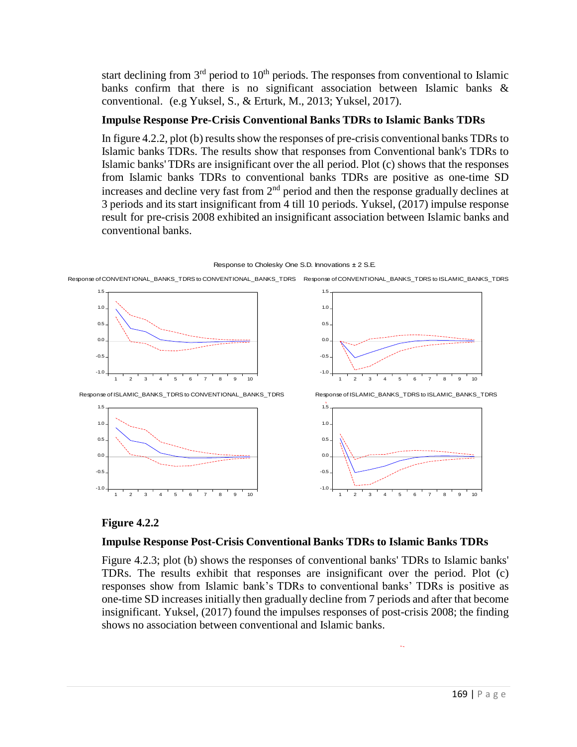start declining from  $3<sup>rd</sup>$  period to  $10<sup>th</sup>$  periods. The responses from conventional to Islamic banks confirm that there is no significant association between Islamic banks & conventional. (e.g Yuksel, S., & Erturk, M., 2013; Yuksel, 2017).

# **Impulse Response Pre-Crisis Conventional Banks TDRs to Islamic Banks TDRs**

In figure 4.2.2, plot (b) results show the responses of pre-crisis conventional banks TDRs to Islamic banks TDRs. The results show that responses from Conventional bank's TDRs to Islamic banks' TDRs are insignificant over the all period. Plot (c) shows that the responses from Islamic banks TDRs to conventional banks TDRs are positive as one-time SD increases and decline very fast from  $2<sup>nd</sup>$  period and then the response gradually declines at 3 periods and its start insignificant from 4 till 10 periods. Yuksel, (2017) impulse response result for pre-crisis 2008 exhibited an insignificant association between Islamic banks and conventional banks.

#### Response to Cholesky One S.D. Innovations <sup>±</sup> 2 S.E.



Response of CONVENTIONAL\_BANKS\_TDRS to CONVENTIONAL\_BANKS\_TDRS Response of CONVENTIONAL\_BANKS\_TDRS to ISLAMIC\_BANKS\_TDRS

## **Figure 4.2.2**

## **Impulse Response Post-Crisis Conventional Banks TDRs to Islamic Banks TDRs**

Figure 4.2.3; plot (b) shows the responses of conventional banks' TDRs to Islamic banks' TDRs. The results exhibit that responses are insignificant over the period. Plot (c) responses show from Islamic bank's TDRs to conventional banks' TDRs is positive as one-time SD increases initially then gradually decline from 7 periods and after that become insignificant. Yuksel, (2017) found the impulses responses of post-crisis 2008; the finding shows no association between conventional and Islamic banks.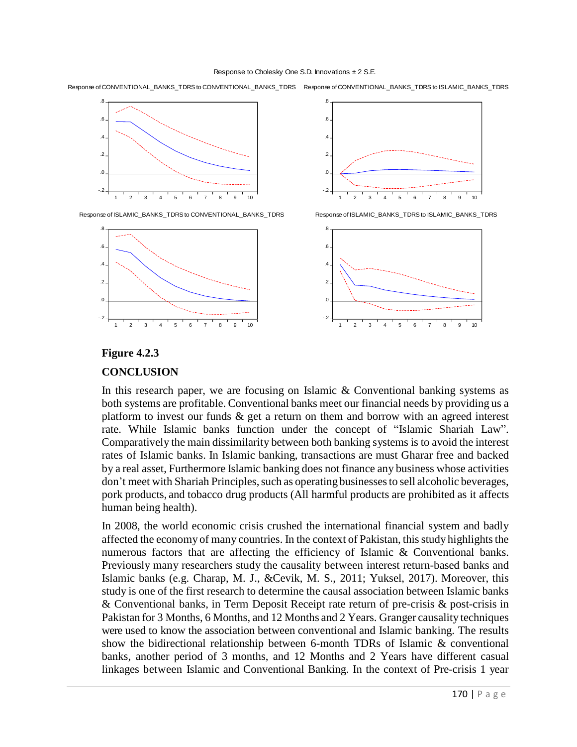#### Response to Cholesky One S.D. Innovations <sup>±</sup> 2 S.E.

Response of CONVENTIONAL\_BANKS\_TDRS to CONVENTIONAL\_BANKS\_TDRS Response of CONVENTIONAL\_BANKS\_TDRS to ISLAMIC\_BANKS\_TDRS



Response of ISLAMIC\_BANKS\_TDRSto CONVENTIONAL\_BANKS\_TDRS





Response of ISLAMIC\_BANKS\_TDRS to ISLAMIC\_BANKS\_TDRS



# **Figure 4.2.3 CONCLUSION**

In this research paper, we are focusing on Islamic & Conventional banking systems as both systems are profitable. Conventional banks meet our financial needs by providing us a platform to invest our funds & get a return on them and borrow with an agreed interest rate. While Islamic banks function under the concept of "Islamic Shariah Law". Comparatively the main dissimilarity between both banking systems is to avoid the interest rates of Islamic banks. In Islamic banking, transactions are must Gharar free and backed by a real asset, Furthermore Islamic banking does not finance any business whose activities don't meet with Shariah Principles, such as operating businesses to sell alcoholic beverages, pork products, and tobacco drug products (All harmful products are prohibited as it affects human being health).

In 2008, the world economic crisis crushed the international financial system and badly affected the economy of many countries. In the context of Pakistan, this study highlights the numerous factors that are affecting the efficiency of Islamic & Conventional banks. Previously many researchers study the causality between interest return-based banks and Islamic banks (e.g. Charap, M. J., &Cevik, M. S., 2011; Yuksel, 2017). Moreover, this study is one of the first research to determine the causal association between Islamic banks & Conventional banks, in Term Deposit Receipt rate return of pre-crisis & post-crisis in Pakistan for 3 Months, 6 Months, and 12 Months and 2 Years. Granger causality techniques were used to know the association between conventional and Islamic banking. The results show the bidirectional relationship between 6-month TDRs of Islamic & conventional banks, another period of 3 months, and 12 Months and 2 Years have different casual linkages between Islamic and Conventional Banking. In the context of Pre-crisis 1 year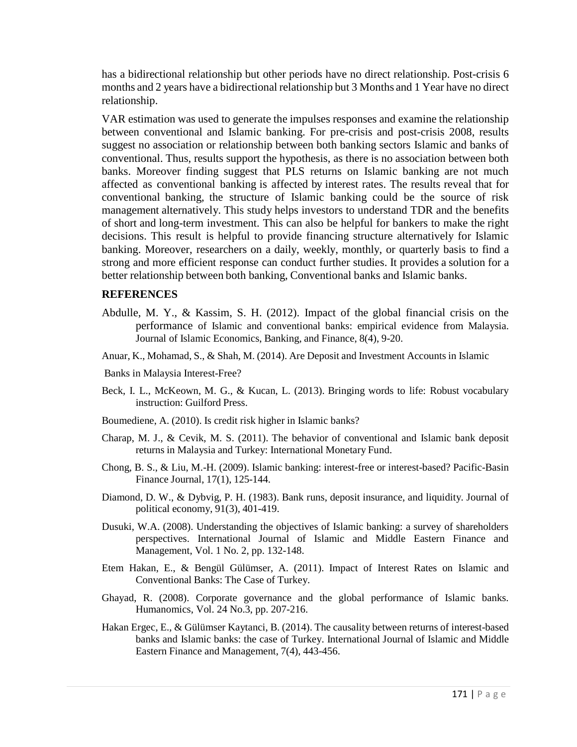has a bidirectional relationship but other periods have no direct relationship. Post-crisis 6 months and 2 years have a bidirectional relationship but 3 Months and 1 Year have no direct relationship.

VAR estimation was used to generate the impulses responses and examine the relationship between conventional and Islamic banking. For pre-crisis and post-crisis 2008, results suggest no association or relationship between both banking sectors Islamic and banks of conventional. Thus, results support the hypothesis, as there is no association between both banks. Moreover finding suggest that PLS returns on Islamic banking are not much affected as conventional banking is affected by interest rates. The results reveal that for conventional banking, the structure of Islamic banking could be the source of risk management alternatively. This study helps investors to understand TDR and the benefits of short and long-term investment. This can also be helpful for bankers to make the right decisions. This result is helpful to provide financing structure alternatively for Islamic banking. Moreover, researchers on a daily, weekly, monthly, or quarterly basis to find a strong and more efficient response can conduct further studies. It provides a solution for a better relationship between both banking, Conventional banks and Islamic banks.

#### **REFERENCES**

- Abdulle, M. Y., & Kassim, S. H. (2012). Impact of the global financial crisis on the performance of Islamic and conventional banks: empirical evidence from Malaysia. Journal of Islamic Economics, Banking, and Finance, 8(4), 9-20.
- Anuar, K., Mohamad, S., & Shah, M. (2014). Are Deposit and Investment Accounts in Islamic
- Banks in Malaysia Interest-Free?
- Beck, I. L., McKeown, M. G., & Kucan, L. (2013). Bringing words to life: Robust vocabulary instruction: Guilford Press.
- Boumediene, A. (2010). Is credit risk higher in Islamic banks?
- Charap, M. J., & Cevik, M. S. (2011). The behavior of conventional and Islamic bank deposit returns in Malaysia and Turkey: International Monetary Fund.
- Chong, B. S., & Liu, M.-H. (2009). Islamic banking: interest-free or interest-based? Pacific-Basin Finance Journal, 17(1), 125-144.
- Diamond, D. W., & Dybvig, P. H. (1983). Bank runs, deposit insurance, and liquidity. Journal of political economy, 91(3), 401-419.
- Dusuki, W.A. (2008). Understanding the objectives of Islamic banking: a survey of shareholders perspectives. International Journal of Islamic and Middle Eastern Finance and Management, Vol. 1 No. 2, pp. 132-148.
- Etem Hakan, E., & Bengül Gülümser, A. (2011). Impact of Interest Rates on Islamic and Conventional Banks: The Case of Turkey.
- Ghayad, R. (2008). Corporate governance and the global performance of Islamic banks. Humanomics, Vol. 24 No.3, pp. 207-216.
- Hakan Ergec, E., & Gülümser Kaytanci, B. (2014). The causality between returns of interest-based banks and Islamic banks: the case of Turkey. International Journal of Islamic and Middle Eastern Finance and Management, 7(4), 443-456.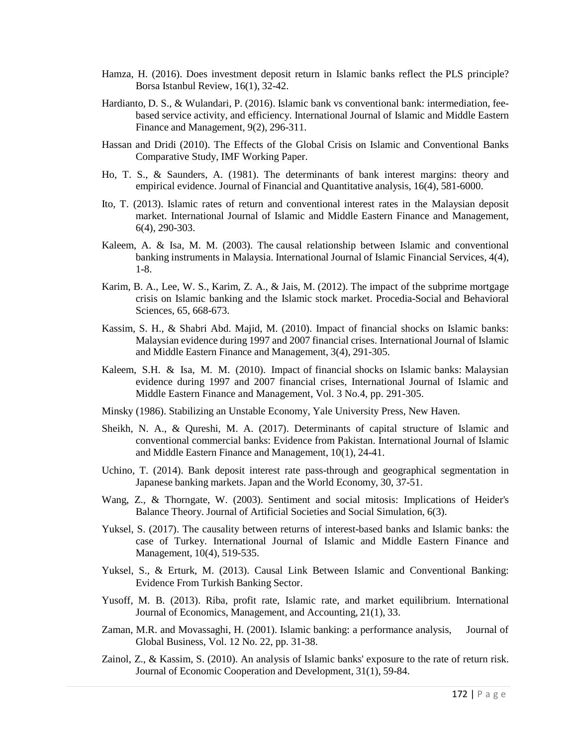- Hamza, H. (2016). Does investment deposit return in Islamic banks reflect the PLS principle? Borsa Istanbul Review, 16(1), 32-42.
- Hardianto, D. S., & Wulandari, P. (2016). Islamic bank vs conventional bank: intermediation, feebased service activity, and efficiency. International Journal of Islamic and Middle Eastern Finance and Management, 9(2), 296-311.
- Hassan and Dridi (2010). The Effects of the Global Crisis on Islamic and Conventional Banks Comparative Study, IMF Working Paper.
- Ho, T. S., & Saunders, A. (1981). The determinants of bank interest margins: theory and empirical evidence. Journal of Financial and Quantitative analysis, 16(4), 581-6000.
- Ito, T. (2013). Islamic rates of return and conventional interest rates in the Malaysian deposit market. International Journal of Islamic and Middle Eastern Finance and Management, 6(4), 290-303.
- Kaleem, A. & Isa, M. M. (2003). The causal relationship between Islamic and conventional banking instruments in Malaysia. International Journal of Islamic Financial Services, 4(4), 1-8.
- Karim, B. A., Lee, W. S., Karim, Z. A., & Jais, M. (2012). The impact of the subprime mortgage crisis on Islamic banking and the Islamic stock market. Procedia-Social and Behavioral Sciences, 65, 668-673.
- Kassim, S. H., & Shabri Abd. Majid, M. (2010). Impact of financial shocks on Islamic banks: Malaysian evidence during 1997 and 2007 financial crises. International Journal of Islamic and Middle Eastern Finance and Management, 3(4), 291-305.
- Kaleem, S.H. & Isa, M. M. (2010). Impact of financial shocks on Islamic banks: Malaysian evidence during 1997 and 2007 financial crises, International Journal of Islamic and Middle Eastern Finance and Management, Vol. 3 No.4, pp. 291-305.
- Minsky (1986). Stabilizing an Unstable Economy, Yale University Press, New Haven.
- Sheikh, N. A., & Qureshi, M. A. (2017). Determinants of capital structure of Islamic and conventional commercial banks: Evidence from Pakistan. International Journal of Islamic and Middle Eastern Finance and Management, 10(1), 24-41.
- Uchino, T. (2014). Bank deposit interest rate pass-through and geographical segmentation in Japanese banking markets. Japan and the World Economy, 30, 37-51.
- Wang, Z., & Thorngate, W. (2003). Sentiment and social mitosis: Implications of Heider's Balance Theory. Journal of Artificial Societies and Social Simulation, 6(3).
- Yuksel, S. (2017). The causality between returns of interest-based banks and Islamic banks: the case of Turkey. International Journal of Islamic and Middle Eastern Finance and Management, 10(4), 519-535.
- Yuksel, S., & Erturk, M. (2013). Causal Link Between Islamic and Conventional Banking: Evidence From Turkish Banking Sector.
- Yusoff, M. B. (2013). Riba, profit rate, Islamic rate, and market equilibrium. International Journal of Economics, Management, and Accounting, 21(1), 33.
- Zaman, M.R. and Movassaghi, H. (2001). Islamic banking: a performance analysis, Journal of Global Business, Vol. 12 No. 22, pp. 31-38.
- Zainol, Z., & Kassim, S. (2010). An analysis of Islamic banks' exposure to the rate of return risk. Journal of Economic Cooperation and Development, 31(1), 59-84.